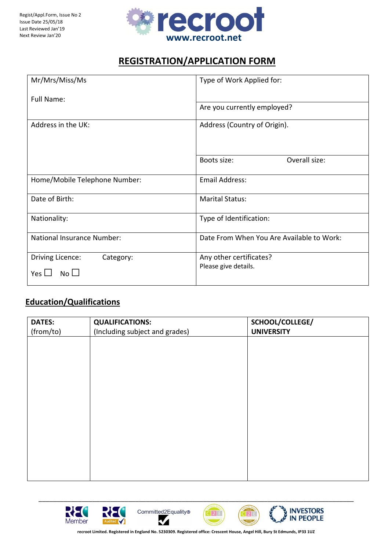

# REGISTRATION/APPLICATION FORM

| Mr/Mrs/Miss/Ms                    | Type of Work Applied for:                 |  |  |  |  |
|-----------------------------------|-------------------------------------------|--|--|--|--|
| Full Name:                        |                                           |  |  |  |  |
|                                   | Are you currently employed?               |  |  |  |  |
| Address in the UK:                | Address (Country of Origin).              |  |  |  |  |
|                                   | Overall size:<br>Boots size:              |  |  |  |  |
| Home/Mobile Telephone Number:     | <b>Email Address:</b>                     |  |  |  |  |
| Date of Birth:                    | <b>Marital Status:</b>                    |  |  |  |  |
| Nationality:                      | Type of Identification:                   |  |  |  |  |
| <b>National Insurance Number:</b> | Date From When You Are Available to Work: |  |  |  |  |
| Driving Licence:<br>Category:     | Any other certificates?                   |  |  |  |  |
| $No$ $\Box$<br>Yes $\Box$         | Please give details.                      |  |  |  |  |

# Education/Qualifications

| <b>DATES:</b> | <b>QUALIFICATIONS:</b>         | SCHOOL/COLLEGE/   |
|---------------|--------------------------------|-------------------|
| (from/to)     | (Including subject and grades) | <b>UNIVERSITY</b> |
|               |                                |                   |
|               |                                |                   |
|               |                                |                   |
|               |                                |                   |
|               |                                |                   |
|               |                                |                   |
|               |                                |                   |
|               |                                |                   |
|               |                                |                   |
|               |                                |                   |
|               |                                |                   |
|               |                                |                   |
|               |                                |                   |
|               |                                |                   |









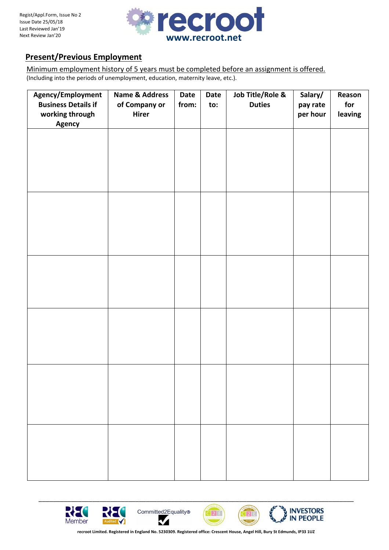

# Present/Previous Employment

Minimum employment history of 5 years must be completed before an assignment is offered. (Including into the periods of unemployment, education, maternity leave, etc.).

| Agency/Employment<br><b>Business Details if</b> | <b>Name &amp; Address</b><br>of Company or | Date<br>from: | <b>Date</b><br>to: | Job Title/Role &<br><b>Duties</b> | Salary/<br>pay rate | Reason<br>for |
|-------------------------------------------------|--------------------------------------------|---------------|--------------------|-----------------------------------|---------------------|---------------|
| working through<br><b>Agency</b>                | Hirer                                      |               |                    |                                   | per hour            | leaving       |
|                                                 |                                            |               |                    |                                   |                     |               |
|                                                 |                                            |               |                    |                                   |                     |               |
|                                                 |                                            |               |                    |                                   |                     |               |
|                                                 |                                            |               |                    |                                   |                     |               |
|                                                 |                                            |               |                    |                                   |                     |               |
|                                                 |                                            |               |                    |                                   |                     |               |
|                                                 |                                            |               |                    |                                   |                     |               |
|                                                 |                                            |               |                    |                                   |                     |               |
|                                                 |                                            |               |                    |                                   |                     |               |
|                                                 |                                            |               |                    |                                   |                     |               |
|                                                 |                                            |               |                    |                                   |                     |               |
|                                                 |                                            |               |                    |                                   |                     |               |
|                                                 |                                            |               |                    |                                   |                     |               |
|                                                 |                                            |               |                    |                                   |                     |               |
|                                                 |                                            |               |                    |                                   |                     |               |
|                                                 |                                            |               |                    |                                   |                     |               |
|                                                 |                                            |               |                    |                                   |                     |               |
|                                                 |                                            |               |                    |                                   |                     |               |
|                                                 |                                            |               |                    |                                   |                     |               |
|                                                 |                                            |               |                    |                                   |                     |               |
|                                                 |                                            |               |                    |                                   |                     |               |







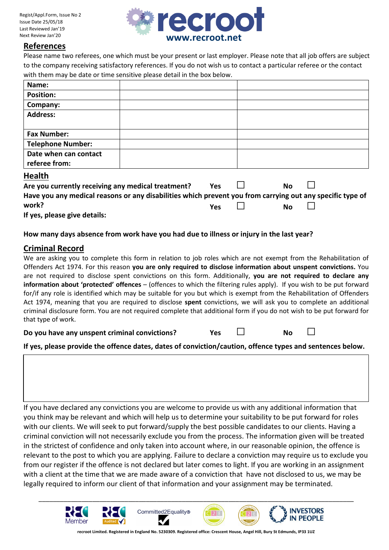

#### References

Please name two referees, one which must be your present or last employer. Please note that all job offers are subject to the company receiving satisfactory references. If you do not wish us to contact a particular referee or the contact with them may be date or time sensitive please detail in the box below.

| Name:                    |  |
|--------------------------|--|
| <b>Position:</b>         |  |
| Company:                 |  |
| <b>Address:</b>          |  |
|                          |  |
| <b>Fax Number:</b>       |  |
| <b>Telephone Number:</b> |  |
| Date when can contact    |  |
| referee from:            |  |
| .                        |  |

#### Health

| <b>Health</b>                                                                                             |            |           |  |
|-----------------------------------------------------------------------------------------------------------|------------|-----------|--|
| Are you currently receiving any medical treatment?                                                        | <b>Yes</b> | <b>No</b> |  |
| Have you any medical reasons or any disabilities which prevent you from carrying out any specific type of |            |           |  |
| work?                                                                                                     | <b>Yes</b> | <b>No</b> |  |
| If yes, please give details:                                                                              |            |           |  |

#### How many days absence from work have you had due to illness or injury in the last year?

### Criminal Record

We are asking you to complete this form in relation to job roles which are not exempt from the Rehabilitation of Offenders Act 1974. For this reason you are only required to disclose information about unspent convictions. You are not required to disclose spent convictions on this form. Additionally, you are not required to declare any information about 'protected' offences – (offences to which the filtering rules apply). If you wish to be put forward for/if any role is identified which may be suitable for you but which is exempt from the Rehabilitation of Offenders Act 1974, meaning that you are required to disclose spent convictions, we will ask you to complete an additional criminal disclosure form. You are not required complete that additional form if you do not wish to be put forward for that type of work.

| uldu iyut ul wulk.                            |            |           |  |
|-----------------------------------------------|------------|-----------|--|
| Do you have any unspent criminal convictions? | <b>Yes</b> | <b>No</b> |  |

If yes, please provide the offence dates, dates of conviction/caution, offence types and sentences below.

If you have declared any convictions you are welcome to provide us with any additional information that you think may be relevant and which will help us to determine your suitability to be put forward for roles with our clients. We will seek to put forward/supply the best possible candidates to our clients. Having a criminal conviction will not necessarily exclude you from the process. The information given will be treated in the strictest of confidence and only taken into account where, in our reasonable opinion, the offence is relevant to the post to which you are applying. Failure to declare a conviction may require us to exclude you from our register if the offence is not declared but later comes to light. If you are working in an assignment with a client at the time that we are made aware of a conviction that have not disclosed to us, we may be legally required to inform our client of that information and your assignment may be terminated.



recroot Limited. Registered in England No. 5230309. Registered office: Crescent House, Angel Hill, Bury St Edmunds, IP33 1UZ